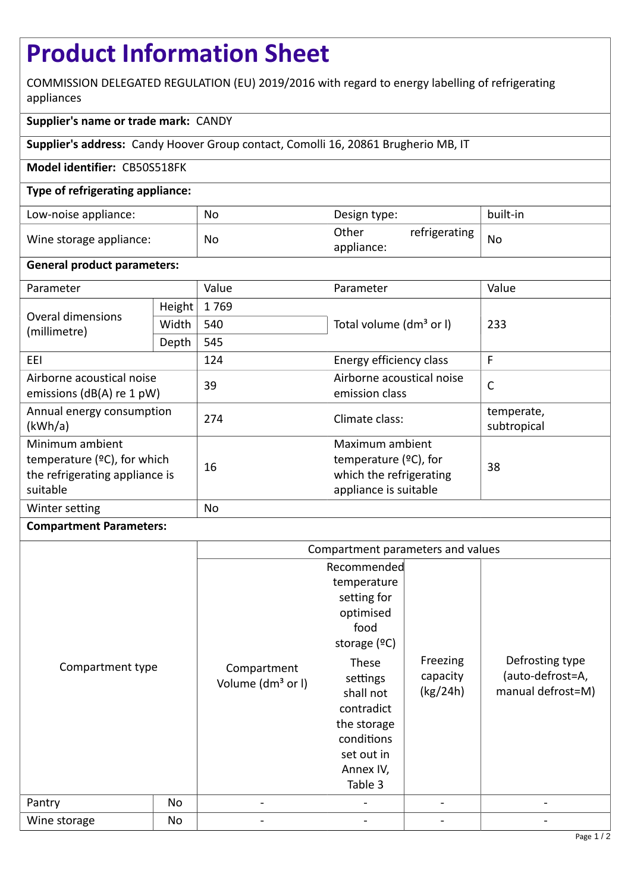# **Product Information Sheet**

COMMISSION DELEGATED REGULATION (EU) 2019/2016 with regard to energy labelling of refrigerating appliances

## **Supplier's name or trade mark:** CANDY

**Supplier's address:** Candy Hoover Group contact, Comolli 16, 20861 Brugherio MB, IT

## **Model identifier:** CB50S518FK

## **Type of refrigerating appliance:**

| Low-noise appliance:    | No | Design type:                         | built-in  |
|-------------------------|----|--------------------------------------|-----------|
| Wine storage appliance: | No | Other<br>refrigerating<br>appliance: | <b>Nc</b> |

#### **General product parameters:**

| Parameter                                                                                       |        | Value     | Parameter                                                                                       | Value                     |  |
|-------------------------------------------------------------------------------------------------|--------|-----------|-------------------------------------------------------------------------------------------------|---------------------------|--|
| Overal dimensions<br>(millimetre)                                                               | Height | 1769      |                                                                                                 | 233                       |  |
|                                                                                                 | Width  | 540       | Total volume (dm <sup>3</sup> or I)                                                             |                           |  |
|                                                                                                 | Depth  | 545       |                                                                                                 |                           |  |
| EEI                                                                                             |        | 124       | Energy efficiency class                                                                         | F                         |  |
| Airborne acoustical noise<br>emissions ( $dB(A)$ re 1 pW)                                       |        | 39        | Airborne acoustical noise<br>emission class                                                     | $\mathsf{C}$              |  |
| Annual energy consumption<br>(kWh/a)                                                            |        | 274       | Climate class:                                                                                  | temperate,<br>subtropical |  |
| Minimum ambient<br>temperature $(2C)$ , for which<br>the refrigerating appliance is<br>suitable |        | 16        | Maximum ambient<br>temperature $(2C)$ , for<br>which the refrigerating<br>appliance is suitable | 38                        |  |
| Winter setting                                                                                  |        | <b>No</b> |                                                                                                 |                           |  |

#### **Compartment Parameters:**

|                  |    | Compartment parameters and values            |                                                                                                                                                                                                     |                                  |                                                          |
|------------------|----|----------------------------------------------|-----------------------------------------------------------------------------------------------------------------------------------------------------------------------------------------------------|----------------------------------|----------------------------------------------------------|
| Compartment type |    | Compartment<br>Volume (dm <sup>3</sup> or I) | Recommended<br>temperature<br>setting for<br>optimised<br>food<br>storage $(°C)$<br>These<br>settings<br>shall not<br>contradict<br>the storage<br>conditions<br>set out in<br>Annex IV,<br>Table 3 | Freezing<br>capacity<br>(kg/24h) | Defrosting type<br>(auto-defrost=A,<br>manual defrost=M) |
|                  |    |                                              |                                                                                                                                                                                                     |                                  |                                                          |
| Wine storage     | No |                                              |                                                                                                                                                                                                     |                                  |                                                          |